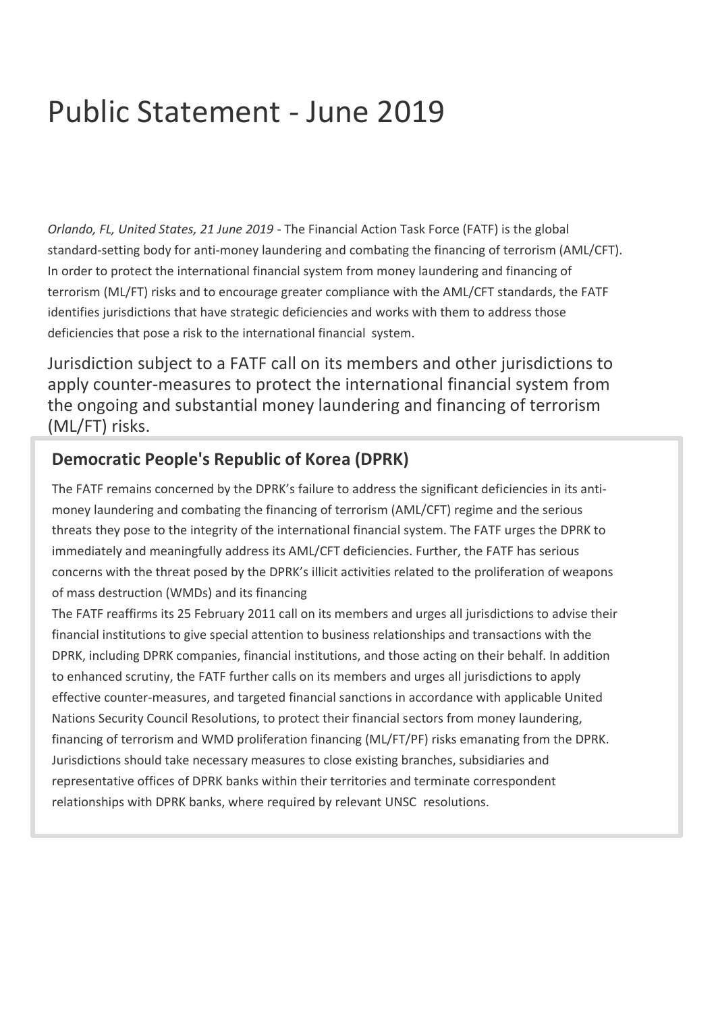## Public Statement - June 2019

*Orlando, FL, United States, 21 June 2019* - The Financial Action Task Force (FATF) is the global standard-setting body for anti-money laundering and combating the financing of terrorism (AML/CFT). In order to protect the international financial system from money laundering and financing of terrorism (ML/FT) risks and to encourage greater compliance with the AML/CFT standards, the FATF identifies jurisdictions that have strategic deficiencies and works with them to address those deficiencies that pose a risk to the international financial system.

Jurisdiction subject to a FATF call on its members and other jurisdictions to apply counter-measures to protect the international financial system from the ongoing and substantial money laundering and financing of terrorism (ML/FT) risks.

## **Democratic People's Republic of Korea (DPRK)**

The FATF remains concerned by the DPRK's failure to address the significant deficiencies in its antimoney laundering and combating the financing of terrorism (AML/CFT) regime and the serious threats they pose to the integrity of the international financial system. The FATF urges the DPRK to immediately and meaningfully address its AML/CFT deficiencies. Further, the FATF has serious concerns with the threat posed by the DPRK's illicit activities related to the proliferation of weapons of mass destruction (WMDs) and its financing

The FATF reaffirms its 25 February 2011 call on its members and urges all jurisdictions to advise their financial institutions to give special attention to business relationships and transactions with the DPRK, including DPRK companies, financial institutions, and those acting on their behalf. In addition to enhanced scrutiny, the FATF further calls on its members and urges all jurisdictions to apply effective counter-measures, and targeted financial sanctions in accordance with applicable United Nations Security Council Resolutions, to protect their financial sectors from money laundering, financing of terrorism and WMD proliferation financing (ML/FT/PF) risks emanating from the DPRK. Jurisdictions should take necessary measures to close existing branches, subsidiaries and representative offices of DPRK banks within their territories and terminate correspondent relationships with DPRK banks, where required by relevant UNSC resolutions.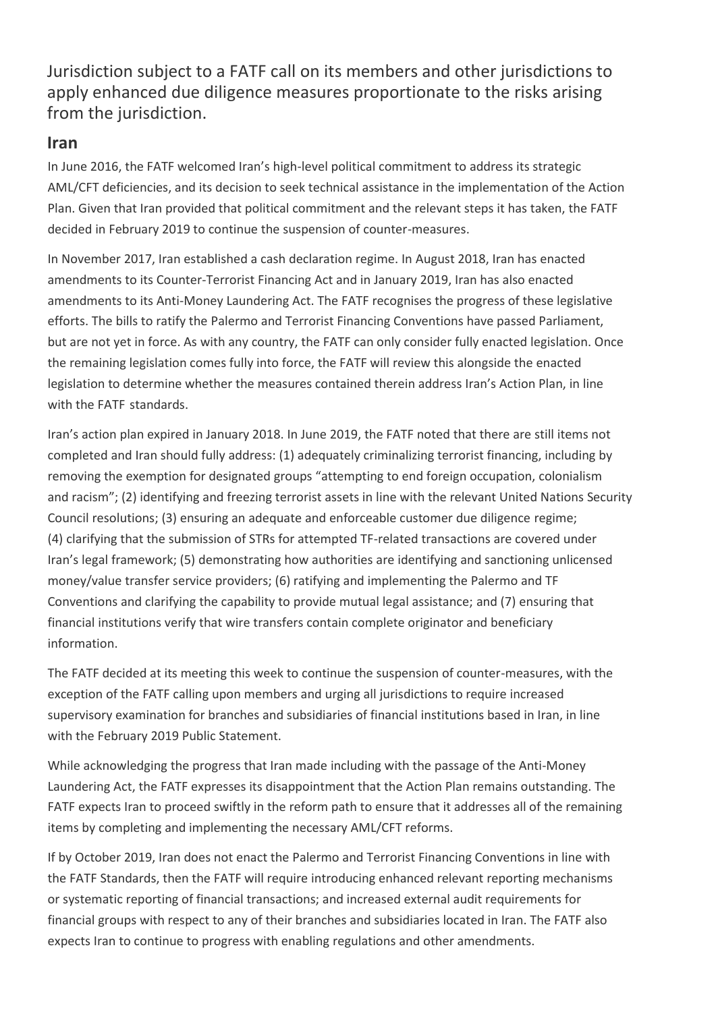Jurisdiction subject to a FATF call on its members and other jurisdictions to apply enhanced due diligence measures proportionate to the risks arising from the jurisdiction.

## **Iran**

In June 2016, the FATF welcomed Iran's high-level political commitment to address its strategic AML/CFT deficiencies, and its decision to seek technical assistance in the implementation of the Action Plan. Given that Iran provided that political commitment and the relevant steps it has taken, the FATF decided in February 2019 to continue the suspension of counter-measures.

In November 2017, Iran established a cash declaration regime. In August 2018, Iran has enacted amendments to its Counter-Terrorist Financing Act and in January 2019, Iran has also enacted amendments to its Anti-Money Laundering Act. The FATF recognises the progress of these legislative efforts. The bills to ratify the Palermo and Terrorist Financing Conventions have passed Parliament, but are not yet in force. As with any country, the FATF can only consider fully enacted legislation. Once the remaining legislation comes fully into force, the FATF will review this alongside the enacted legislation to determine whether the measures contained therein address Iran's Action Plan, in line with the FATF standards.

Iran's action plan expired in January 2018. In June 2019, the FATF noted that there are still items not completed and Iran should fully address: (1) adequately criminalizing terrorist financing, including by removing the exemption for designated groups "attempting to end foreign occupation, colonialism and racism"; (2) identifying and freezing terrorist assets in line with the relevant United Nations Security Council resolutions; (3) ensuring an adequate and enforceable customer due diligence regime; (4) clarifying that the submission of STRs for attempted TF-related transactions are covered under Iran's legal framework; (5) demonstrating how authorities are identifying and sanctioning unlicensed money/value transfer service providers; (6) ratifying and implementing the Palermo and TF Conventions and clarifying the capability to provide mutual legal assistance; and (7) ensuring that financial institutions verify that wire transfers contain complete originator and beneficiary information.

The FATF decided at its meeting this week to continue the suspension of counter-measures, with the exception of the FATF calling upon members and urging all jurisdictions to require increased supervisory examination for branches and subsidiaries of financial institutions based in Iran, in line with the February 2019 Public Statement.

While acknowledging the progress that Iran made including with the passage of the Anti-Money Laundering Act, the FATF expresses its disappointment that the Action Plan remains outstanding. The FATF expects Iran to proceed swiftly in the reform path to ensure that it addresses all of the remaining items by completing and implementing the necessary AML/CFT reforms.

If by October 2019, Iran does not enact the Palermo and Terrorist Financing Conventions in line with the FATF Standards, then the FATF will require introducing enhanced relevant reporting mechanisms or systematic reporting of financial transactions; and increased external audit requirements for financial groups with respect to any of their branches and subsidiaries located in Iran. The FATF also expects Iran to continue to progress with enabling regulations and other amendments.